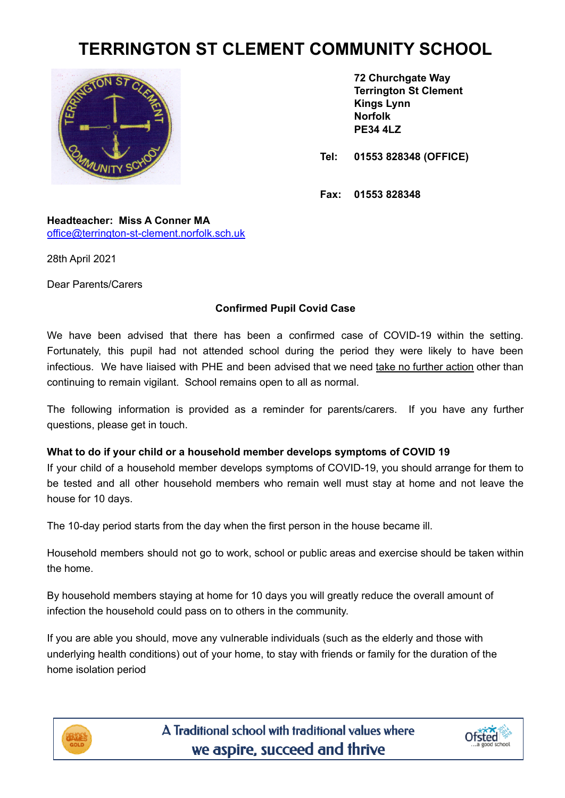# **TERRINGTON ST CLEMENT COMMUNITY SCHOOL**



**72 Churchgate Way Terrington St Clement Kings Lynn Norfolk PE34 4LZ**

**Tel: 01553 828348 (OFFICE)**

**Fax: 01553 828348**

**Headteacher: Miss A Conner MA** [office@terrington-st-clement.norfolk.sch.uk](mailto:office@terrington-st-clement.norfolk.sch.uk)

28th April 2021

Dear Parents/Carers

## **Confirmed Pupil Covid Case**

We have been advised that there has been a confirmed case of COVID-19 within the setting. Fortunately, this pupil had not attended school during the period they were likely to have been infectious. We have liaised with PHE and been advised that we need take no further action other than continuing to remain vigilant. School remains open to all as normal.

The following information is provided as a reminder for parents/carers. If you have any further questions, please get in touch.

## **What to do if your child or a household member develops symptoms of COVID 19**

If your child of a household member develops symptoms of COVID-19, you should arrange for them to be tested and all other household members who remain well must stay at home and not leave the house for 10 days.

The 10-day period starts from the day when the first person in the house became ill.

Household members should not go to work, school or public areas and exercise should be taken within the home.

By household members staying at home for 10 days you will greatly reduce the overall amount of infection the household could pass on to others in the community.

If you are able you should, move any vulnerable individuals (such as the elderly and those with underlying health conditions) out of your home, to stay with friends or family for the duration of the home isolation period



A Traditional school with traditional values where we aspire, succeed and thrive